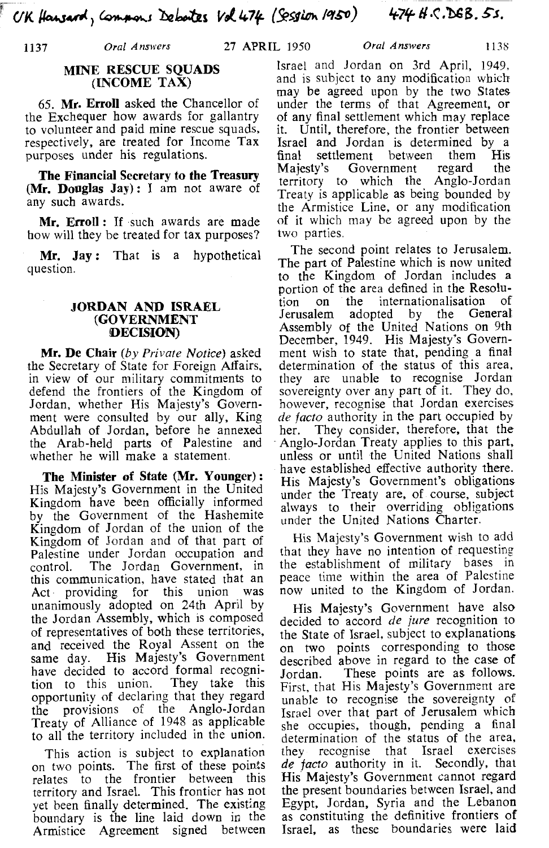## MINE RESCUE SOUADS (INCOME TAX)

65. Mr. Errol1 asked the Chancellor of the Exchequer how awards for gallantry to volunteer and paid mine rescue squads, respectively, are treated for Income Tax purposes under his regulations.

The Financial Secretary **to** the Treasury (Mr. Douglas Jay): I am not aware of any such awards.

Mr. Erroll: If such awards are made how will they be treated for tax purposes?

Mr. Jay: That is a hypothetical question.

## JORDAN AND ISRAEL (GOVERNMENT {DECISION)

Mr. De Chair (by *Private* Notice) asked the Secretary of State for Foreign Affairs, in view of our military commitments to defend the frontiers of the Kingdom of Jordan, whether His Majesty's Government were consulted by our ally, King Abdullah of Jordan, before he annexed the Arab-held parts of Palestine and whether he will make a statement.

The Minister of State **(Mr.** Younger) : His Majesty's Government in the United Kingdom have been officially informed by the Government of the Hashemite Kingdom of Jordan of the union of the Kingdom of Jordan and of that part of Palestine under Jordan occupation and control. The Jordan Government, in this communication, have stated that an<br>Act providing for this union was Act providing for this union unanimously adopted on 24th April by the Jordan Assembly, which is composed of representatives of both these territories, and received the Royal Assent on the same day. His Majesty's Government have decided to accord formal recognition to this union. They take this tion to this union. opportunity of declaring that they regard the provisions of the Anglo-Jordan Treaty of Alliance of 1948 as applicable to all the territory included in the union.

This action is subject to explanation on two points. The first of these points relates to the frontier between this territory and Israel. This frontier has not yet been finally determined. The existing boundary is the line laid down in the Armistice Agreement signed between

Israel and Jordan on 3rd April, 1949, and is subject to any modification which may be agreed upon by the two States under the terms of that Agreement, or of any final settlement which may replace<br>it. Until, therefore, the frontier between Until, therefore, the frontier between Israel and Jordan is determined by a final settlement between them His<br>Majesty's Government regard the Majesty's Government regard the territory to which the Anglo-Jordan Treaty is applicable as being bounded by the Armistice Line, or any modification of it which may be agreed upon by the two parties.

The second point relates to Jerusalem. The part of Palestine which is now united to the Kingdom of Jordan includes a portion of the area defined in the Resolution on the internationalisation of the internationalisation of<br>adopted by the General Jerusalem adopted by the Assembly of the United Nations on 9th December, 1949. His Majesty's Government wish to state that, pending a final determination of the status of this area, they are unable to recognise Jordan sovereignty over any part of it. They do, however, recognise that Jordan exercises *de facto* authority in the part occupied by her. They consider, therefore, that the Anglo-Jordan Treaty applies to this part, unless or until the United Nations shall have established effective authority there. His Majesty's Government's obligations. under the Treaty are, of course, subject always to their overriding obligations under the United Nations Charter.

His Majesty's Government wish to add that they have no intention of requesting the establishment of military bases in peace time within the area of Palestine now united to the Kingdom of Jordan.

His Majesty's Government have also decided to accord *de jure* recognition to the State of Israel, subject to explanations on two points corresponding to those described above in regard to the case of<br>Jordan. These points are as follows. These points are as follows. First, that His Majesty's Government are unable to recognise the sovereignty of Israel over that part of Jerusalem which she occupies, though, pending a final determination of the status of the area, they recognise that Israel exercises *de facto* authority in it. Secondly, that His Majesty's Government cannot regard the present boundaries between Israel, and Egypt, Jordan, Syria and the Lebanon as constituting the definitive frontiers of Israel, as these boundaries were laid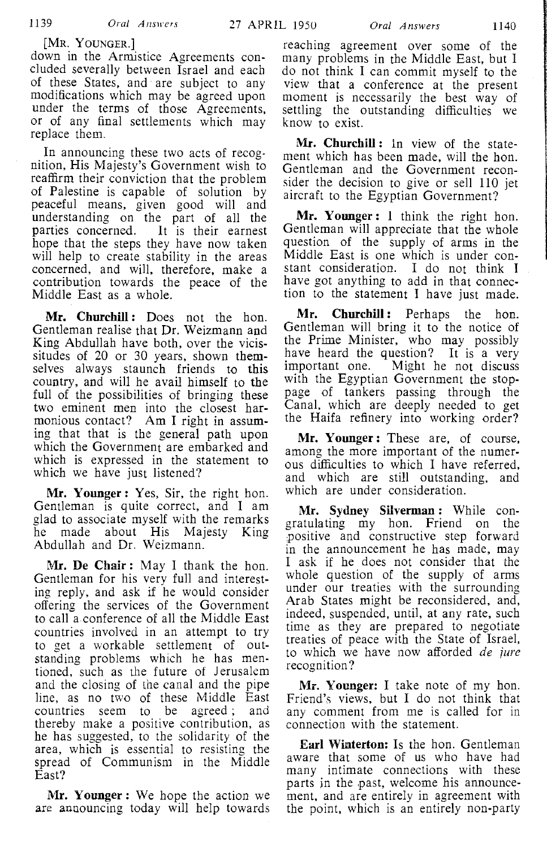down in the Armistice Agreements concluded severally between Israel and each of these States, and are subject to any modifications which may be agreed upon under the terms of those Agreements, or of any final settlements which may replace them.

In announcing these two acts of recognition, His Majesty's Government wish to reaffirm their conviction that the problem of Palestine is capable of solution by peaceful means, given good will and understanding on the part of all the parties concerned. It is their earnest It is their earnest hope that the steps they have now taken will help to create stability in the areas concerned, and will, therefore, make a contribution towards the peace of the Middle East as a whole.

**Mr. Churchill:** Does not the hon. Gentleman realise that Dr. Weizmann and King Abdullah have both, over the vicissitudes of 20 or 30 years, shown themselves always staunch friends to this country, and will he avail himself to the full of the possibilities of bringing these two eminent men into the closest harmonious contact? Am I right in assuming that that is the general path upon which the Government are embarked and which is expressed in the statement to which we have just listened?

**Mr. Younger:** Yes, Sir, the right hon. Gentleman is quite correct, and I am glad to associate myself with the remarks he made about His Majesty King Abdullah and Dr. Weizmann.

**Mr. De Chair:** May I thank the hon. Gentleman for his very full and interesting reply, and ask if he would consider offering the services of the Government to call a conference of all the Middle East countries involved in an attempt to try to get a workable settlement of outstanding problems which he has mentioned, such as the future of Jerusalem and the closing of the canal and the pipe line, as no two of these Middle East countries seem to be agreed; and thereby make a positive contribution, as he has suggested, to the solidarity of the area, which is essential to resisting the spread of Communism in the Middle East?

**Mr. Younger:** We hope the action we are announcing today will help towards

reaching agreement over some of the many problems in the Middle East, but I do not think I can commit myself to the view that a conference at the present moment is necessarily the best way of settling the outstanding difficulties we know to exist.

**Mr. Churchill** : In view of the statement which has been made, will the hon. Gentleman and the Government reconsider the decision to give or sell 110 jet aircraft to the Egyptian Government?

**Mr. Younger: 1** think the right hon. Gentleman will appreciate that the whole question of the supply of arms in the Middle East is one which is under constant consideration. I do not think I have got anything to add in that connection to the statement I have just made.

**Mr. Churchill:** Perhaps the hon. Gentleman will bring it to the notice of the Prime Minister, who may possibly have heard the question? It is a very important one. Might he not discuss Might he not discuss with the Egyptian Government the stoppage of tankers passing through the Canal, which are deeply needed to get the Haifa refinery into working order?

**Mr. Younger:** These are, of course, among the more important of the numerous difficulties to which I have referred, and which are still outstanding, and which are under consideration.

**Mr. Sydney Silverman** : While congratulating my hon. Friend on the positive and constructive step forward in the announcement he has made, may I ask if he does not consider that the whole question of the supply of arms under our treaties with the surrounding Arab States might be reconsidered, and, indeed, suspended, until, at any rate, such time as they are prepared to negotiate treaties of peace with the State of Israel, to which we have now afforded de *jure*  recognition?

**Mr. Younger:** I take note of my hon. Friend's views, but I do not think that any comment from me is called for in connection with the statement.

**Earl Winterton:** Is the hon. Gentleman aware that some of us who have had many intimate connections with these parts in the past, welcome his announcement, and are entirely in agreement with the point, which is an entirely non-party